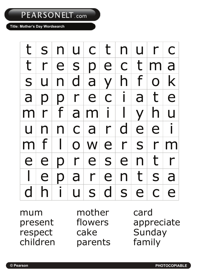## PEARSONELT.com

## **Title: Mother's Day Wordsearch**

|                |  | $t   s   n   u   c   t   n   u   r   c  $                               |  |  |  |
|----------------|--|-------------------------------------------------------------------------|--|--|--|
|                |  | t r e s p e c t m a                                                     |  |  |  |
|                |  | s u n d a y h f o k                                                     |  |  |  |
| $\overline{a}$ |  | ppreciate                                                               |  |  |  |
|                |  | mrfamilyhu                                                              |  |  |  |
|                |  | $u \mid n \mid n \mid c \mid a \mid r \mid d \mid e \mid e \mid i \mid$ |  |  |  |
|                |  | $m$ f $  \cdot   \cdot   \cdot  $ e $r$ s $r$ m                         |  |  |  |
|                |  | e e p r e s e n t r                                                     |  |  |  |
|                |  | $l$  e p a r e n t s a                                                  |  |  |  |
| $\mathsf{d}$   |  | hiusdsece                                                               |  |  |  |

mum mother card respect cake Sunday<br>
children parents family

parents

present flowers appreciate